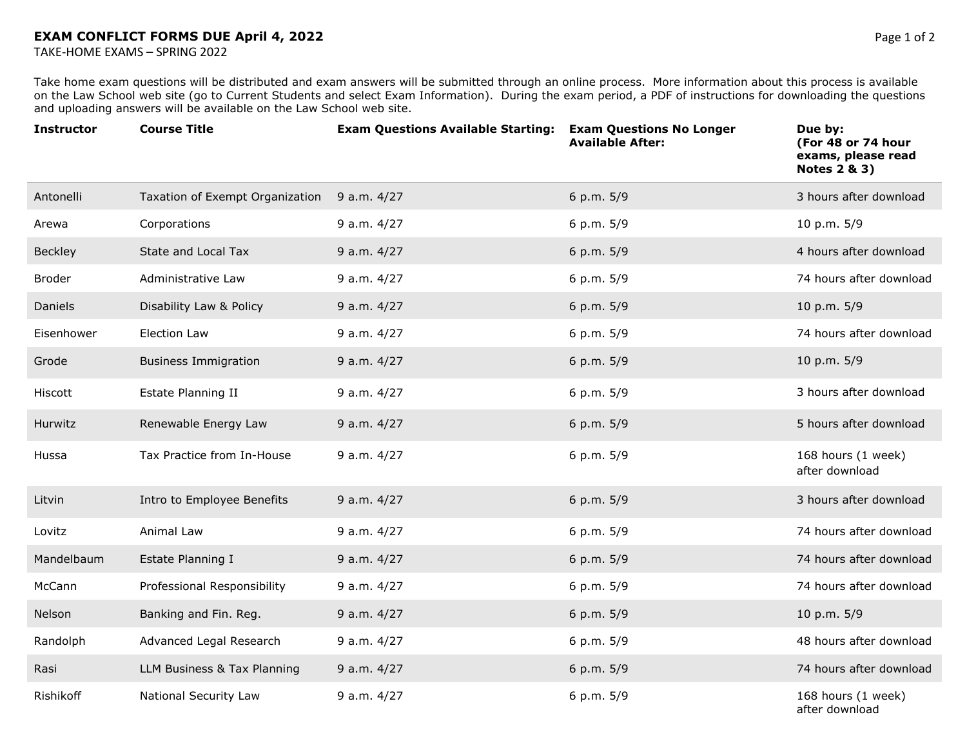TAKE-HOME EXAMS – SPRING 2022

Take home exam questions will be distributed and exam answers will be submitted through an online process. More information about this process is available on the Law School web site (go to Current Students and select Exam Information). During the exam period, a PDF of instructions for downloading the questions and uploading answers will be available on the Law School web site.

| <b>Instructor</b> | <b>Course Title</b>             | <b>Exam Questions Available Starting:</b> | <b>Exam Questions No Longer</b><br><b>Available After:</b> | Due by:<br>(For 48 or 74 hour<br>exams, please read<br><b>Notes 2 &amp; 3)</b> |
|-------------------|---------------------------------|-------------------------------------------|------------------------------------------------------------|--------------------------------------------------------------------------------|
| Antonelli         | Taxation of Exempt Organization | 9 a.m. 4/27                               | 6 p.m. 5/9                                                 | 3 hours after download                                                         |
| Arewa             | Corporations                    | 9 a.m. 4/27                               | 6 p.m. 5/9                                                 | 10 p.m. 5/9                                                                    |
| Beckley           | State and Local Tax             | 9 a.m. 4/27                               | 6 p.m. 5/9                                                 | 4 hours after download                                                         |
| <b>Broder</b>     | Administrative Law              | 9 a.m. 4/27                               | 6 p.m. 5/9                                                 | 74 hours after download                                                        |
| Daniels           | Disability Law & Policy         | 9 a.m. 4/27                               | 6 p.m. 5/9                                                 | 10 p.m. 5/9                                                                    |
| Eisenhower        | <b>Election Law</b>             | 9 a.m. 4/27                               | 6 p.m. 5/9                                                 | 74 hours after download                                                        |
| Grode             | <b>Business Immigration</b>     | 9 a.m. 4/27                               | 6 p.m. 5/9                                                 | 10 p.m. 5/9                                                                    |
| Hiscott           | Estate Planning II              | 9 a.m. 4/27                               | 6 p.m. 5/9                                                 | 3 hours after download                                                         |
| Hurwitz           | Renewable Energy Law            | 9 a.m. 4/27                               | 6 p.m. 5/9                                                 | 5 hours after download                                                         |
| Hussa             | Tax Practice from In-House      | 9 a.m. 4/27                               | 6 p.m. 5/9                                                 | 168 hours (1 week)<br>after download                                           |
| Litvin            | Intro to Employee Benefits      | 9 a.m. 4/27                               | 6 p.m. 5/9                                                 | 3 hours after download                                                         |
| Lovitz            | Animal Law                      | 9 a.m. 4/27                               | 6 p.m. 5/9                                                 | 74 hours after download                                                        |
| Mandelbaum        | Estate Planning I               | 9 a.m. 4/27                               | 6 p.m. 5/9                                                 | 74 hours after download                                                        |
| McCann            | Professional Responsibility     | 9 a.m. 4/27                               | 6 p.m. 5/9                                                 | 74 hours after download                                                        |
| Nelson            | Banking and Fin. Reg.           | 9 a.m. 4/27                               | 6 p.m. 5/9                                                 | 10 p.m. 5/9                                                                    |
| Randolph          | Advanced Legal Research         | 9 a.m. 4/27                               | 6 p.m. 5/9                                                 | 48 hours after download                                                        |
| Rasi              | LLM Business & Tax Planning     | 9 a.m. 4/27                               | 6 p.m. 5/9                                                 | 74 hours after download                                                        |
| Rishikoff         | National Security Law           | 9 a.m. 4/27                               | 6 p.m. 5/9                                                 | 168 hours (1 week)<br>after download                                           |